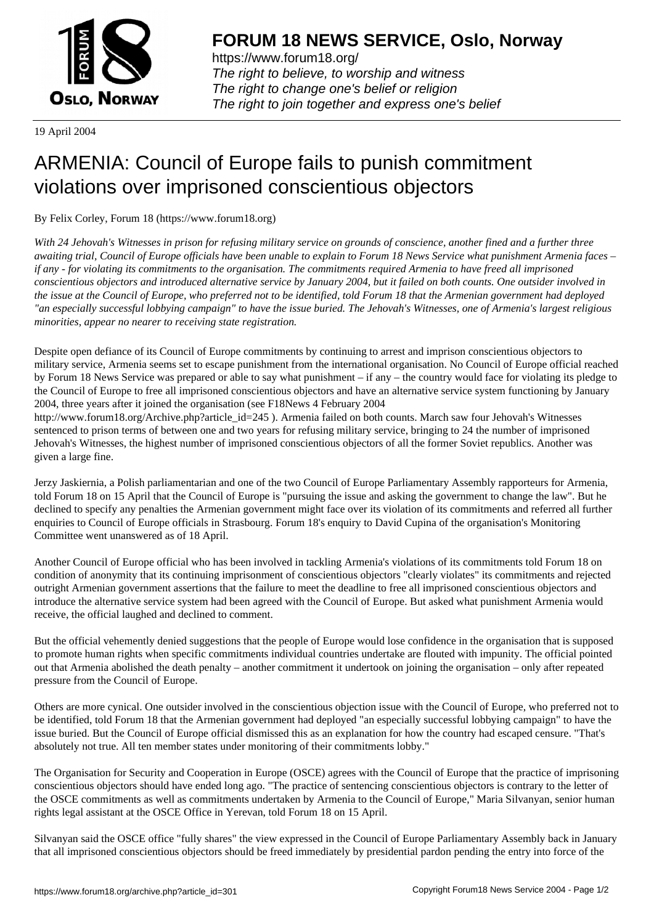

https://www.forum18.org/ The right to believe, to worship and witness The right to change one's belief or religion [The right to join together a](https://www.forum18.org/)nd express one's belief

19 April 2004

## [ARMENIA: Cou](https://www.forum18.org)ncil of Europe fails to punish commitment violations over imprisoned conscientious objectors

By Felix Corley, Forum 18 (https://www.forum18.org)

*With 24 Jehovah's Witnesses in prison for refusing military service on grounds of conscience, another fined and a further three awaiting trial, Council of Europe officials have been unable to explain to Forum 18 News Service what punishment Armenia faces – if any - for violating its commitments to the organisation. The commitments required Armenia to have freed all imprisoned conscientious objectors and introduced alternative service by January 2004, but it failed on both counts. One outsider involved in the issue at the Council of Europe, who preferred not to be identified, told Forum 18 that the Armenian government had deployed "an especially successful lobbying campaign" to have the issue buried. The Jehovah's Witnesses, one of Armenia's largest religious minorities, appear no nearer to receiving state registration.*

Despite open defiance of its Council of Europe commitments by continuing to arrest and imprison conscientious objectors to military service, Armenia seems set to escape punishment from the international organisation. No Council of Europe official reached by Forum 18 News Service was prepared or able to say what punishment – if any – the country would face for violating its pledge to the Council of Europe to free all imprisoned conscientious objectors and have an alternative service system functioning by January 2004, three years after it joined the organisation (see F18News 4 February 2004

http://www.forum18.org/Archive.php?article\_id=245 ). Armenia failed on both counts. March saw four Jehovah's Witnesses sentenced to prison terms of between one and two years for refusing military service, bringing to 24 the number of imprisoned Jehovah's Witnesses, the highest number of imprisoned conscientious objectors of all the former Soviet republics. Another was given a large fine.

Jerzy Jaskiernia, a Polish parliamentarian and one of the two Council of Europe Parliamentary Assembly rapporteurs for Armenia, told Forum 18 on 15 April that the Council of Europe is "pursuing the issue and asking the government to change the law". But he declined to specify any penalties the Armenian government might face over its violation of its commitments and referred all further enquiries to Council of Europe officials in Strasbourg. Forum 18's enquiry to David Cupina of the organisation's Monitoring Committee went unanswered as of 18 April.

Another Council of Europe official who has been involved in tackling Armenia's violations of its commitments told Forum 18 on condition of anonymity that its continuing imprisonment of conscientious objectors "clearly violates" its commitments and rejected outright Armenian government assertions that the failure to meet the deadline to free all imprisoned conscientious objectors and introduce the alternative service system had been agreed with the Council of Europe. But asked what punishment Armenia would receive, the official laughed and declined to comment.

But the official vehemently denied suggestions that the people of Europe would lose confidence in the organisation that is supposed to promote human rights when specific commitments individual countries undertake are flouted with impunity. The official pointed out that Armenia abolished the death penalty – another commitment it undertook on joining the organisation – only after repeated pressure from the Council of Europe.

Others are more cynical. One outsider involved in the conscientious objection issue with the Council of Europe, who preferred not to be identified, told Forum 18 that the Armenian government had deployed "an especially successful lobbying campaign" to have the issue buried. But the Council of Europe official dismissed this as an explanation for how the country had escaped censure. "That's absolutely not true. All ten member states under monitoring of their commitments lobby."

The Organisation for Security and Cooperation in Europe (OSCE) agrees with the Council of Europe that the practice of imprisoning conscientious objectors should have ended long ago. "The practice of sentencing conscientious objectors is contrary to the letter of the OSCE commitments as well as commitments undertaken by Armenia to the Council of Europe," Maria Silvanyan, senior human rights legal assistant at the OSCE Office in Yerevan, told Forum 18 on 15 April.

Silvanyan said the OSCE office "fully shares" the view expressed in the Council of Europe Parliamentary Assembly back in January that all imprisoned conscientious objectors should be freed immediately by presidential pardon pending the entry into force of the